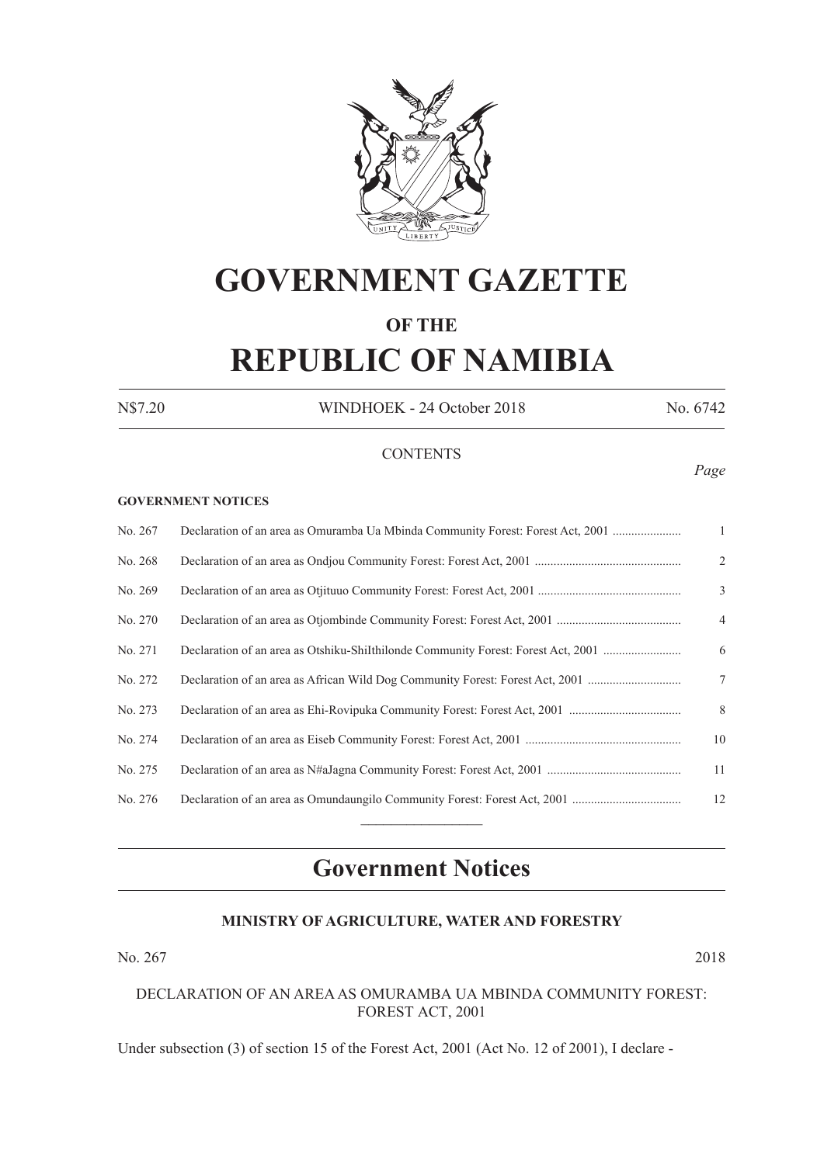

## **GOVERNMENT GAZETTE OF THE**

# **REPUBLIC OF NAMIBIA**

N\$7.20 WINDHOEK - 24 October 2018 No. 6742

*Page*

#### **CONTENTS**

#### **GOVERNMENT NOTICES**

| No. 267 | Declaration of an area as Omuramba Ua Mbinda Community Forest: Forest Act, 2001   | $\mathbf{1}$   |
|---------|-----------------------------------------------------------------------------------|----------------|
| No. 268 |                                                                                   | 2              |
| No. 269 |                                                                                   | 3              |
| No. 270 |                                                                                   | $\overline{4}$ |
| No. 271 | Declaration of an area as Otshiku-Shilthilonde Community Forest: Forest Act, 2001 | 6              |
| No. 272 | Declaration of an area as African Wild Dog Community Forest: Forest Act, 2001     | 7              |
| No. 273 |                                                                                   | 8              |
| No. 274 |                                                                                   | 10             |
| No. 275 |                                                                                   | 11             |
| No. 276 |                                                                                   | 12             |
|         |                                                                                   |                |

### **Government Notices**

#### **MINISTRY OF AGRICULTURE, WATER AND FORESTRY**

No. 267 2018

#### DECLARATION OF AN AREA AS OMURAMBA UA MBINDA COMMUNITY FOREST: FOREST ACT, 2001

Under subsection (3) of section 15 of the Forest Act, 2001 (Act No. 12 of 2001), I declare -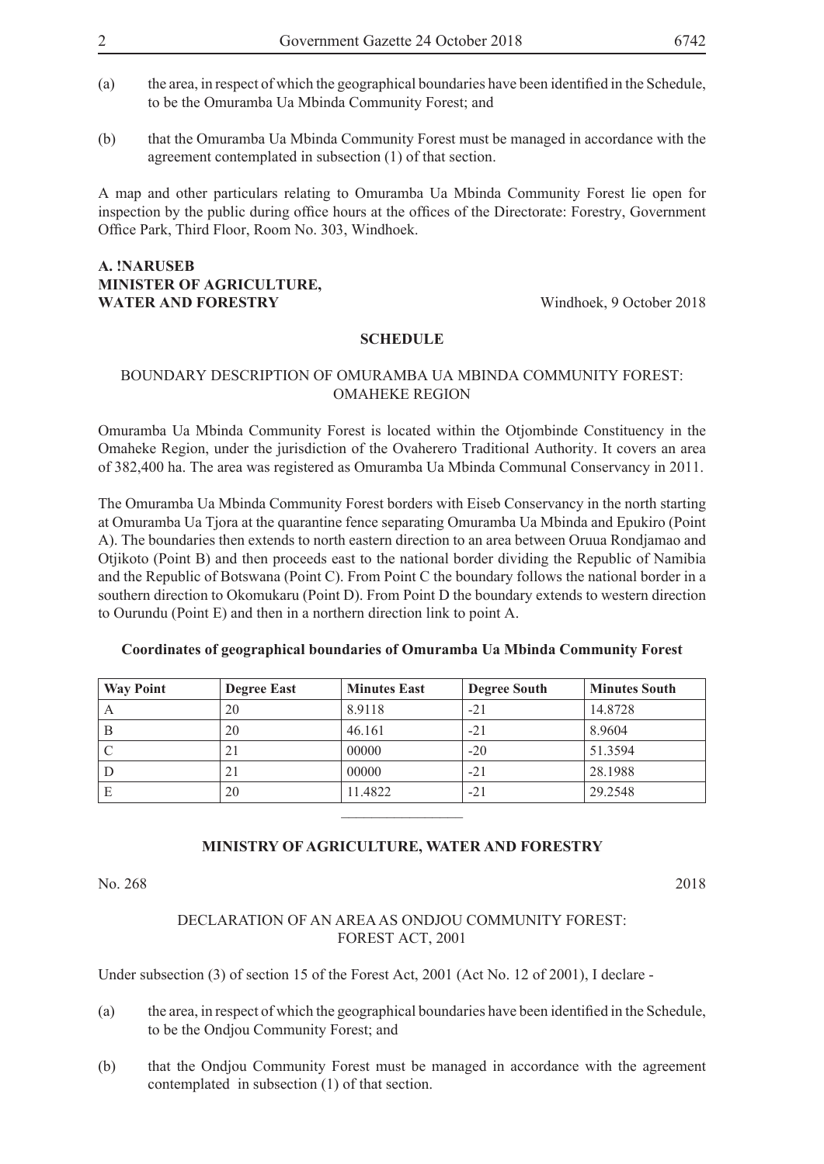- (a) the area, in respect of which the geographical boundaries have been identified in the Schedule, to be the Omuramba Ua Mbinda Community Forest; and
- (b) that the Omuramba Ua Mbinda Community Forest must be managed in accordance with the agreement contemplated in subsection (1) of that section.

A map and other particulars relating to Omuramba Ua Mbinda Community Forest lie open for inspection by the public during office hours at the offices of the Directorate: Forestry, Government Office Park, Third Floor, Room No. 303, Windhoek.

#### **A. !NARUSEB MINISTER OF AGRICULTURE, WATER AND FORESTRY** Windhoek, 9 October 2018

#### **SCHEDULE**

#### BOUNDARY DESCRIPTION OF OMURAMBA UA MBINDA COMMUNITY FOREST: OMAHEKE REGION

Omuramba Ua Mbinda Community Forest is located within the Otjombinde Constituency in the Omaheke Region, under the jurisdiction of the Ovaherero Traditional Authority. It covers an area of 382,400 ha. The area was registered as Omuramba Ua Mbinda Communal Conservancy in 2011.

The Omuramba Ua Mbinda Community Forest borders with Eiseb Conservancy in the north starting at Omuramba Ua Tjora at the quarantine fence separating Omuramba Ua Mbinda and Epukiro (Point A). The boundaries then extends to north eastern direction to an area between Oruua Rondjamao and Otjikoto (Point B) and then proceeds east to the national border dividing the Republic of Namibia and the Republic of Botswana (Point C). From Point C the boundary follows the national border in a southern direction to Okomukaru (Point D). From Point D the boundary extends to western direction to Ourundu (Point E) and then in a northern direction link to point A.

| <b>Way Point</b> | <b>Degree East</b> | <b>Minutes East</b> | <b>Degree South</b> | <b>Minutes South</b> |
|------------------|--------------------|---------------------|---------------------|----------------------|
|                  | 20                 | 8.9118              | $-21$               | 14.8728              |
|                  | 20                 | 46.161              | $-21$               | 8.9604               |
|                  | 21                 | 00000               | $-20$               | 51.3594              |
|                  |                    | 00000               | -21                 | 28.1988              |

#### **Coordinates of geographical boundaries of Omuramba Ua Mbinda Community Forest**

#### **MINISTRY OF AGRICULTURE, WATER AND FORESTRY**

 $\frac{1}{2}$ 

E 20 11.4822 -21 29.2548

No. 268 2018

#### DECLARATION OF AN AREA AS ONDJOU COMMUNITY FOREST: FOREST ACT, 2001

Under subsection (3) of section 15 of the Forest Act, 2001 (Act No. 12 of 2001), I declare -

- (a) the area, in respect of which the geographical boundaries have been identified in the Schedule, to be the Ondjou Community Forest; and
- (b) that the Ondjou Community Forest must be managed in accordance with the agreement contemplated in subsection (1) of that section.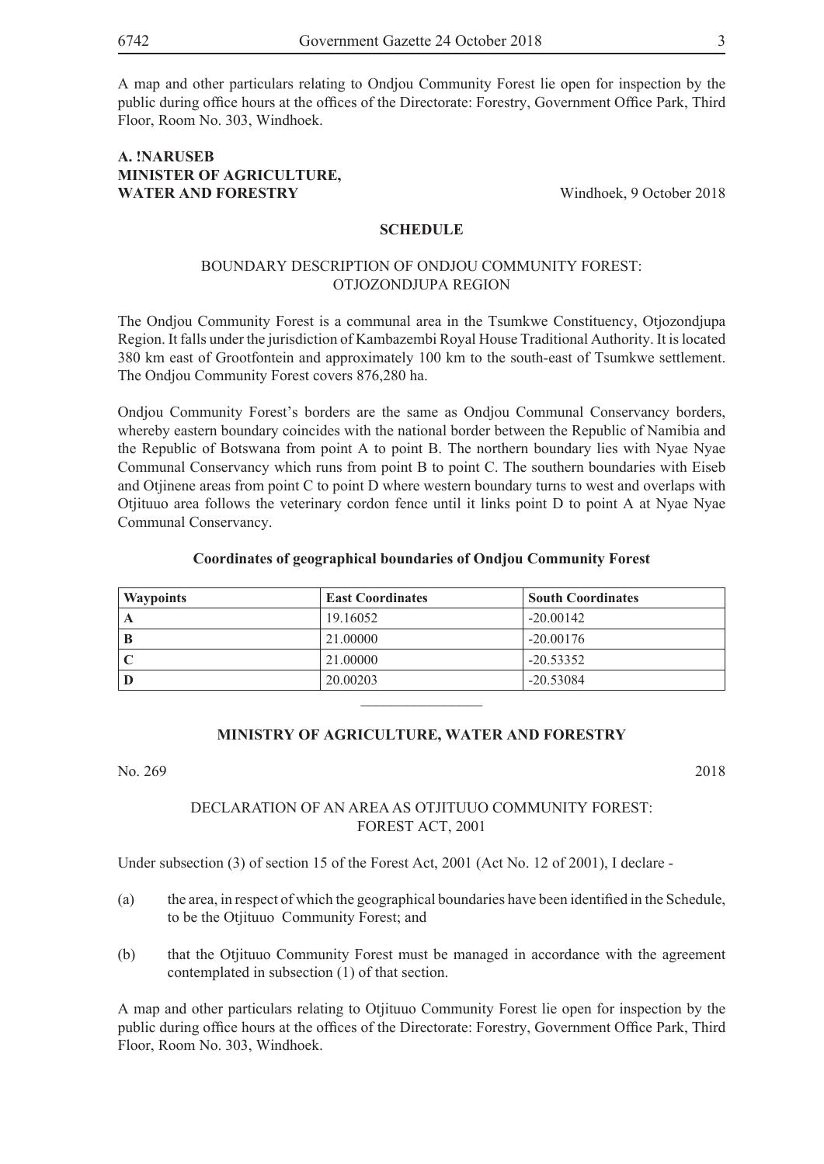A map and other particulars relating to Ondjou Community Forest lie open for inspection by the public during office hours at the offices of the Directorate: Forestry, Government Office Park, Third Floor, Room No. 303, Windhoek.

#### **A. !NARUSEB MINISTER OF AGRICULTURE, WATER AND FORESTRY** Windhoek, 9 October 2018

#### **SCHEDULE**

#### BOUNDARY DESCRIPTION OF ONDJOU COMMUNITY FOREST: OTJOZONDJUPA REGION

The Ondjou Community Forest is a communal area in the Tsumkwe Constituency, Otjozondjupa Region. It falls under the jurisdiction of Kambazembi Royal House Traditional Authority. It is located 380 km east of Grootfontein and approximately 100 km to the south-east of Tsumkwe settlement. The Ondjou Community Forest covers 876,280 ha.

Ondjou Community Forest's borders are the same as Ondjou Communal Conservancy borders, whereby eastern boundary coincides with the national border between the Republic of Namibia and the Republic of Botswana from point A to point B. The northern boundary lies with Nyae Nyae Communal Conservancy which runs from point B to point C. The southern boundaries with Eiseb and Otjinene areas from point C to point D where western boundary turns to west and overlaps with Otjituuo area follows the veterinary cordon fence until it links point D to point A at Nyae Nyae Communal Conservancy.

#### **Coordinates of geographical boundaries of Ondjou Community Forest**

| <b>Waypoints</b> | <b>East Coordinates</b> | <b>South Coordinates</b> |
|------------------|-------------------------|--------------------------|
|                  | 19.16052                | $-20.00142$              |
|                  | 21.00000                | $-20.00176$              |
|                  | 21.00000                | $-20.53352$              |
|                  | 20.00203                | $-20.53084$              |

#### **MINISTRY OF AGRICULTURE, WATER AND FORESTRY**

 $\frac{1}{2}$ 

No. 269 2018

#### DECLARATION OF AN AREA AS OTJITUUO COMMUNITY FOREST: FOREST ACT, 2001

Under subsection (3) of section 15 of the Forest Act, 2001 (Act No. 12 of 2001), I declare -

- (a) the area, in respect of which the geographical boundaries have been identified in the Schedule, to be the Otjituuo Community Forest; and
- (b) that the Otjituuo Community Forest must be managed in accordance with the agreement contemplated in subsection (1) of that section.

A map and other particulars relating to Otjituuo Community Forest lie open for inspection by the public during office hours at the offices of the Directorate: Forestry, Government Office Park, Third Floor, Room No. 303, Windhoek.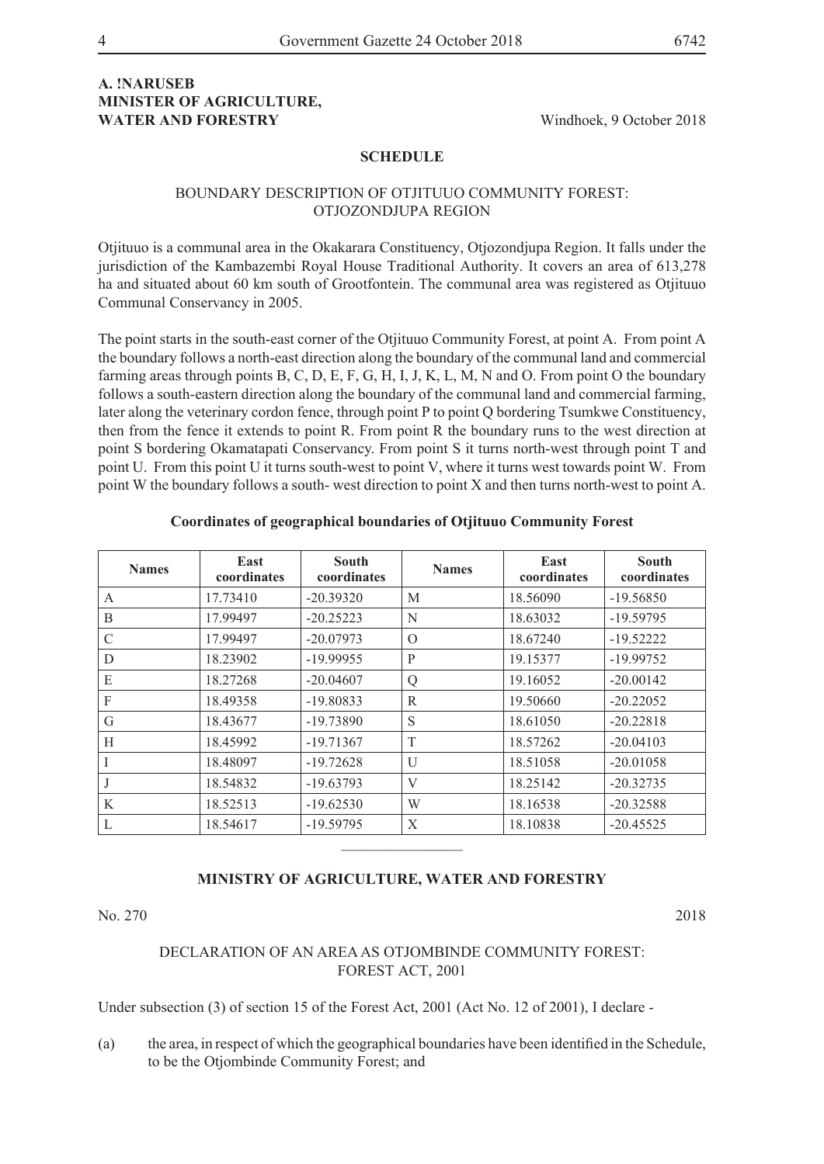#### **A. !NARUSEB MINISTER OF AGRICULTURE, WATER AND FORESTRY** Windhoek, 9 October 2018

#### **SCHEDULE**

#### BOUNDARY DESCRIPTION OF OTJITUUO COMMUNITY FOREST: OTJOZONDJUPA REGION

Otjituuo is a communal area in the Okakarara Constituency, Otjozondjupa Region. It falls under the jurisdiction of the Kambazembi Royal House Traditional Authority. It covers an area of 613,278 ha and situated about 60 km south of Grootfontein. The communal area was registered as Otjituuo Communal Conservancy in 2005.

The point starts in the south-east corner of the Otjituuo Community Forest, at point A. From point A the boundary follows a north-east direction along the boundary of the communal land and commercial farming areas through points B, C, D, E, F, G, H, I, J, K, L, M, N and O. From point O the boundary follows a south-eastern direction along the boundary of the communal land and commercial farming, later along the veterinary cordon fence, through point P to point Q bordering Tsumkwe Constituency, then from the fence it extends to point R. From point R the boundary runs to the west direction at point S bordering Okamatapati Conservancy. From point S it turns north-west through point T and point U. From this point U it turns south-west to point V, where it turns west towards point W. From point W the boundary follows a south- west direction to point X and then turns north-west to point A.

| <b>Names</b>  | East<br>coordinates | South<br>coordinates | <b>Names</b> | East<br>coordinates | South<br>coordinates |
|---------------|---------------------|----------------------|--------------|---------------------|----------------------|
| $\mathbf{A}$  | 17.73410            | $-20.39320$          | M            | 18.56090            | $-19.56850$          |
| B             | 17.99497            | $-20.25223$          | N            | 18.63032            | $-19.59795$          |
| $\mathcal{C}$ | 17.99497            | $-20.07973$          | $\Omega$     | 18.67240            | $-19.52222$          |
| D             | 18.23902            | $-19.99955$          | P            | 19.15377            | $-19.99752$          |
| E             | 18.27268            | $-20.04607$          | Q            | 19.16052            | $-20.00142$          |
| F             | 18.49358            | $-19.80833$          | R            | 19.50660            | $-20.22052$          |
| G             | 18.43677            | $-19.73890$          | S            | 18.61050            | $-20.22818$          |
| H             | 18.45992            | $-19.71367$          | T            | 18.57262            | $-20.04103$          |
|               | 18.48097            | $-19.72628$          | U            | 18.51058            | $-20.01058$          |
|               | 18.54832            | $-19.63793$          | V            | 18.25142            | $-20.32735$          |
| K             | 18.52513            | $-19.62530$          | W            | 18.16538            | $-20.32588$          |
| L             | 18.54617            | $-19.59795$          | X            | 18.10838            | $-20.45525$          |
|               |                     |                      |              |                     |                      |

#### **Coordinates of geographical boundaries of Otjituuo Community Forest**

#### **MINISTRY OF AGRICULTURE, WATER AND FORESTRY**

No. 270 2018

DECLARATION OF AN AREA AS OTJOMBINDE COMMUNITY FOREST: FOREST ACT, 2001

Under subsection (3) of section 15 of the Forest Act, 2001 (Act No. 12 of 2001), I declare -

(a) the area, in respect of which the geographical boundaries have been identified in the Schedule, to be the Otjombinde Community Forest; and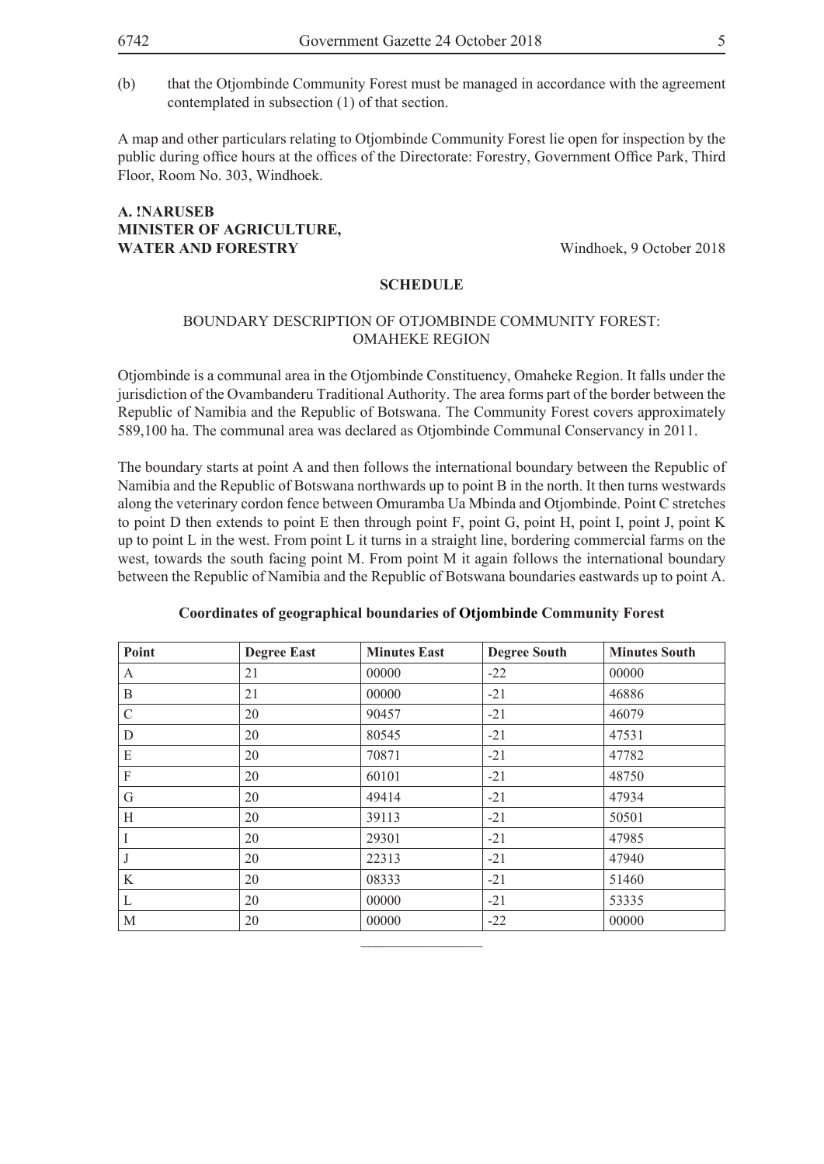(b) that the Otjombinde Community Forest must be managed in accordance with the agreement contemplated in subsection (1) of that section.

A map and other particulars relating to Otjombinde Community Forest lie open for inspection by the public during office hours at the offices of the Directorate: Forestry, Government Office Park, Third Floor, Room No. 303, Windhoek.

#### **A. !NARUSEB MINISTER OF AGRICULTURE, WATER AND FORESTRY** Windhoek, 9 October 2018

#### **SCHEDULE**

#### BOUNDARY DESCRIPTION OF OTJOMBINDE COMMUNITY FOREST: OMAHEKE REGION

Otjombinde is a communal area in the Otjombinde Constituency, Omaheke Region. It falls under the jurisdiction of the Ovambanderu Traditional Authority. The area forms part of the border between the Republic of Namibia and the Republic of Botswana. The Community Forest covers approximately 589,100 ha. The communal area was declared as Otjombinde Communal Conservancy in 2011.

The boundary starts at point A and then follows the international boundary between the Republic of Namibia and the Republic of Botswana northwards up to point B in the north. It then turns westwards along the veterinary cordon fence between Omuramba Ua Mbinda and Otjombinde. Point C stretches to point D then extends to point E then through point F, point G, point H, point I, point J, point K up to point L in the west. From point L it turns in a straight line, bordering commercial farms on the west, towards the south facing point M. From point M it again follows the international boundary between the Republic of Namibia and the Republic of Botswana boundaries eastwards up to point A.

| Point         | <b>Degree East</b> | <b>Minutes East</b> | <b>Degree South</b> | <b>Minutes South</b> |
|---------------|--------------------|---------------------|---------------------|----------------------|
| A             | 21                 | 00000               | $-22$               | 00000                |
| B             | 21                 | 00000               | $-21$               | 46886                |
| $\mathcal{C}$ | 20                 | 90457               | $-21$               | 46079                |
| D             | 20                 | 80545               | $-21$               | 47531                |
| E             | 20                 | 70871               | $-21$               | 47782                |
| F             | 20                 | 60101               | $-21$               | 48750                |
| G             | 20                 | 49414               | $-21$               | 47934                |
| H             | 20                 | 39113               | $-21$               | 50501                |
| I             | 20                 | 29301               | $-21$               | 47985                |
| J             | 20                 | 22313               | $-21$               | 47940                |
| K             | 20                 | 08333               | $-21$               | 51460                |
| L             | 20                 | 00000               | $-21$               | 53335                |
| M             | 20                 | 00000               | $-22$               | 00000                |

#### **Coordinates of geographical boundaries of Otjombinde Community Forest**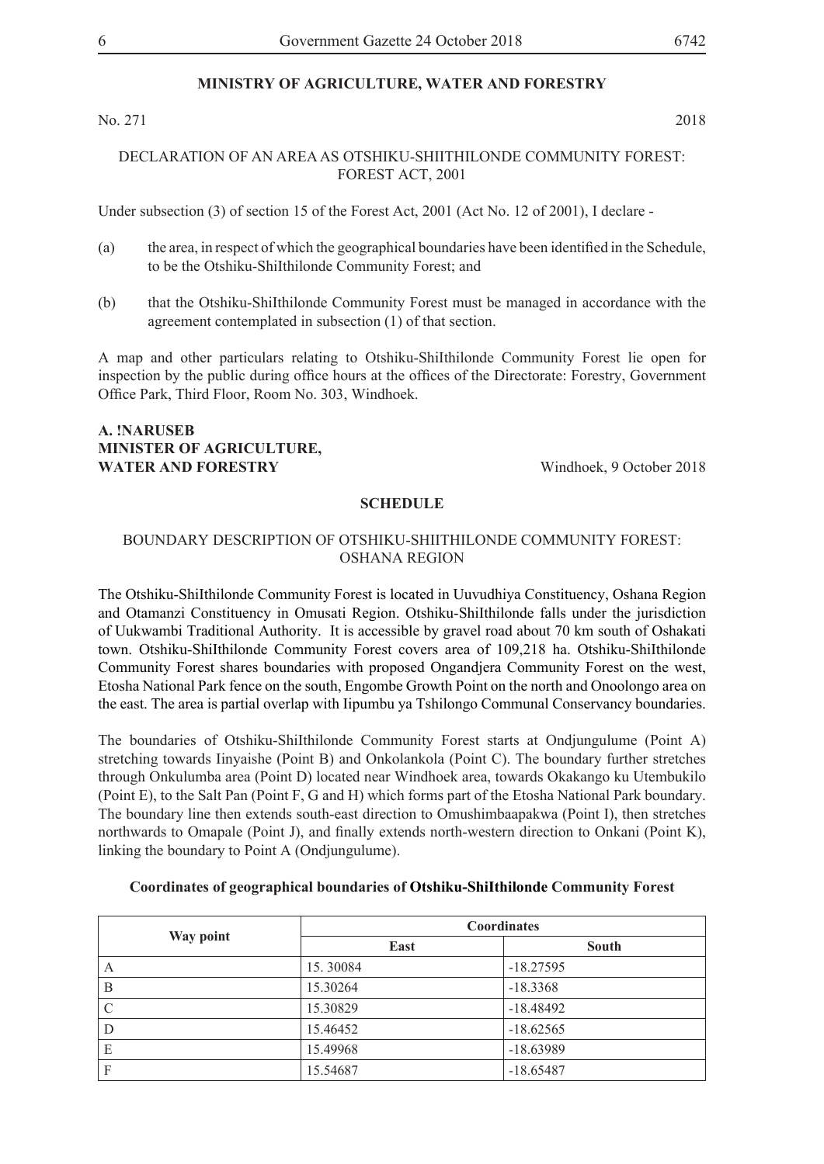No. 271 2018

#### DECLARATION OF AN AREA AS OTSHIKU-SHIITHILONDE COMMUNITY FOREST: FOREST ACT, 2001

Under subsection (3) of section 15 of the Forest Act, 2001 (Act No. 12 of 2001), I declare -

- (a) the area, in respect of which the geographical boundaries have been identified in the Schedule, to be the Otshiku-ShiIthilonde Community Forest; and
- (b) that the Otshiku-ShiIthilonde Community Forest must be managed in accordance with the agreement contemplated in subsection (1) of that section.

A map and other particulars relating to Otshiku-ShiIthilonde Community Forest lie open for inspection by the public during office hours at the offices of the Directorate: Forestry, Government Office Park, Third Floor, Room No. 303, Windhoek.

#### **A. !NARUSEB MINISTER OF AGRICULTURE, WATER AND FORESTRY** Windhoek, 9 October 2018

#### **SCHEDULE**

#### BOUNDARY DESCRIPTION OF OTSHIKU-SHIITHILONDE COMMUNITY FOREST: OSHANA REGION

The Otshiku-ShiIthilonde Community Forest is located in Uuvudhiya Constituency, Oshana Region and Otamanzi Constituency in Omusati Region. Otshiku-ShiIthilonde falls under the jurisdiction of Uukwambi Traditional Authority. It is accessible by gravel road about 70 km south of Oshakati town. Otshiku-ShiIthilonde Community Forest covers area of 109,218 ha. Otshiku-ShiIthilonde Community Forest shares boundaries with proposed Ongandjera Community Forest on the west, Etosha National Park fence on the south, Engombe Growth Point on the north and Onoolongo area on the east. The area is partial overlap with Iipumbu ya Tshilongo Communal Conservancy boundaries.

The boundaries of Otshiku-ShiIthilonde Community Forest starts at Ondjungulume (Point A) stretching towards Iinyaishe (Point B) and Onkolankola (Point C). The boundary further stretches through Onkulumba area (Point D) located near Windhoek area, towards Okakango ku Utembukilo (Point E), to the Salt Pan (Point F, G and H) which forms part of the Etosha National Park boundary. The boundary line then extends south-east direction to Omushimbaapakwa (Point I), then stretches northwards to Omapale (Point J), and finally extends north-western direction to Onkani (Point K), linking the boundary to Point A (Ondjungulume).

|               | <b>Coordinates</b> |             |  |  |
|---------------|--------------------|-------------|--|--|
| Way point     | East               | South       |  |  |
| A             | 15.30084           | $-18.27595$ |  |  |
| B             | 15.30264           | $-18.3368$  |  |  |
| $\mathcal{C}$ | 15.30829           | $-18.48492$ |  |  |
| D             | 15.46452           | $-18.62565$ |  |  |
| E             | 15.49968           | $-18.63989$ |  |  |
| F             | 15.54687           | $-18.65487$ |  |  |

#### **Coordinates of geographical boundaries of Otshiku-ShiIthilonde Community Forest**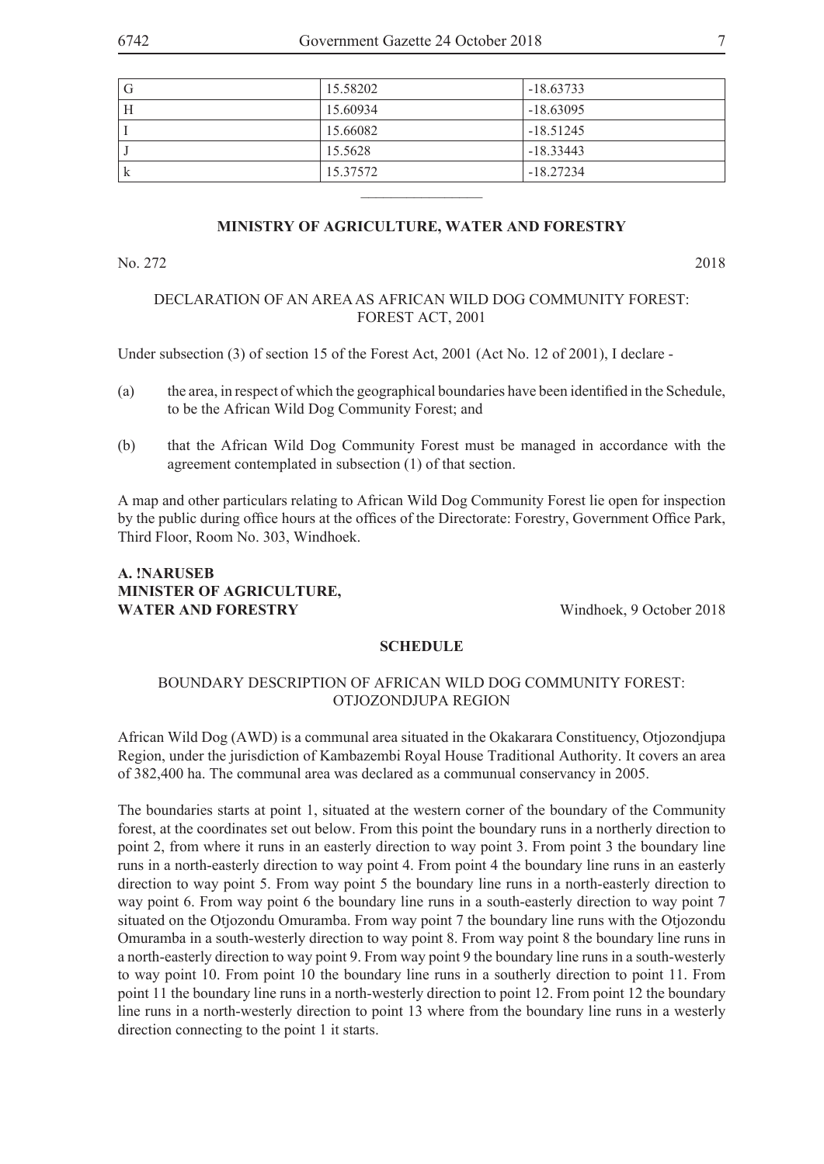| G | 15.58202 | $-18.63733$ |
|---|----------|-------------|
| Н | 15.60934 | $-18.63095$ |
|   | 15.66082 | $-18.51245$ |
|   | 15.5628  | $-18.33443$ |
| K | 15.37572 | $-18.27234$ |
|   |          |             |

No. 272 2018

#### DECLARATION OF AN AREA AS AFRICAN WILD DOG COMMUNITY FOREST: FOREST ACT, 2001

Under subsection (3) of section 15 of the Forest Act, 2001 (Act No. 12 of 2001), I declare -

- (a) the area, in respect of which the geographical boundaries have been identified in the Schedule, to be the African Wild Dog Community Forest; and
- (b) that the African Wild Dog Community Forest must be managed in accordance with the agreement contemplated in subsection (1) of that section.

A map and other particulars relating to African Wild Dog Community Forest lie open for inspection by the public during office hours at the offices of the Directorate: Forestry, Government Office Park, Third Floor, Room No. 303, Windhoek.

#### **A. !NARUSEB MINISTER OF AGRICULTURE,**  WATER AND FORESTRY Windhoek, 9 October 2018

#### **SCHEDULE**

#### BOUNDARY DESCRIPTION OF AFRICAN WILD DOG COMMUNITY FOREST: OTJOZONDJUPA REGION

African Wild Dog (AWD) is a communal area situated in the Okakarara Constituency, Otjozondjupa Region, under the jurisdiction of Kambazembi Royal House Traditional Authority. It covers an area of 382,400 ha. The communal area was declared as a communual conservancy in 2005.

The boundaries starts at point 1, situated at the western corner of the boundary of the Community forest, at the coordinates set out below. From this point the boundary runs in a northerly direction to point 2, from where it runs in an easterly direction to way point 3. From point 3 the boundary line runs in a north-easterly direction to way point 4. From point 4 the boundary line runs in an easterly direction to way point 5. From way point 5 the boundary line runs in a north-easterly direction to way point 6. From way point 6 the boundary line runs in a south-easterly direction to way point 7 situated on the Otjozondu Omuramba. From way point 7 the boundary line runs with the Otjozondu Omuramba in a south-westerly direction to way point 8. From way point 8 the boundary line runs in a north-easterly direction to way point 9. From way point 9 the boundary line runs in a south-westerly to way point 10. From point 10 the boundary line runs in a southerly direction to point 11. From point 11 the boundary line runs in a north-westerly direction to point 12. From point 12 the boundary line runs in a north-westerly direction to point 13 where from the boundary line runs in a westerly direction connecting to the point 1 it starts.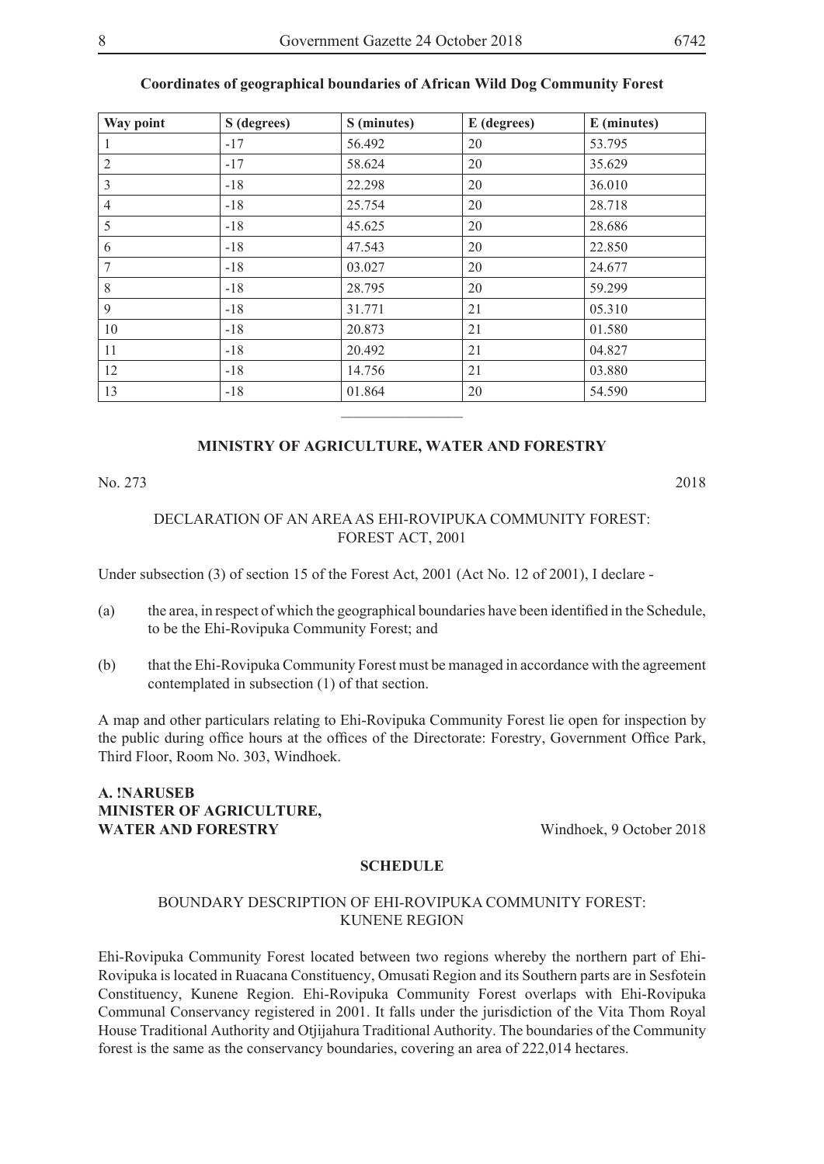|--|--|

| Way point      | S (degrees) | S (minutes) | E (degrees) | E (minutes) |
|----------------|-------------|-------------|-------------|-------------|
| 1              | $-17$       | 56.492      | 20          | 53.795      |
| $\overline{2}$ | $-17$       | 58.624      | 20          | 35.629      |
| $\mathfrak{Z}$ | $-18$       | 22.298      | 20          | 36.010      |
| $\overline{4}$ | $-18$       | 25.754      | 20          | 28.718      |
| 5              | $-18$       | 45.625      | 20          | 28.686      |
| 6              | $-18$       | 47.543      | 20          | 22.850      |
| 7              | $-18$       | 03.027      | 20          | 24.677      |
| 8              | $-18$       | 28.795      | 20          | 59.299      |
| 9              | $-18$       | 31.771      | 21          | 05.310      |
| 10             | $-18$       | 20.873      | 21          | 01.580      |
| 11             | $-18$       | 20.492      | 21          | 04.827      |
| 12             | $-18$       | 14.756      | 21          | 03.880      |
| 13             | $-18$       | 01.864      | 20          | 54.590      |
|                |             |             |             |             |

#### **Coordinates of geographical boundaries of African Wild Dog Community Forest**

#### **MINISTRY OF AGRICULTURE, WATER AND FORESTRY**

No. 273 2018

#### DECLARATION OF AN AREA AS EHI-ROVIPUKA COMMUNITY FOREST: FOREST ACT, 2001

Under subsection (3) of section 15 of the Forest Act, 2001 (Act No. 12 of 2001), I declare -

- (a) the area, in respect of which the geographical boundaries have been identified in the Schedule, to be the Ehi-Rovipuka Community Forest; and
- (b) that the Ehi-Rovipuka Community Forest must be managed in accordance with the agreement contemplated in subsection (1) of that section.

A map and other particulars relating to Ehi-Rovipuka Community Forest lie open for inspection by the public during office hours at the offices of the Directorate: Forestry, Government Office Park, Third Floor, Room No. 303, Windhoek.

#### **A. !NARUSEB MINISTER OF AGRICULTURE, WATER AND FORESTRY** Windhoek, 9 October 2018

#### **SCHEDULE**

#### BOUNDARY DESCRIPTION OF EHI-ROVIPUKA COMMUNITY FOREST: KUNENE REGION

Ehi-Rovipuka Community Forest located between two regions whereby the northern part of Ehi-Rovipuka is located in Ruacana Constituency, Omusati Region and its Southern parts are in Sesfotein Constituency, Kunene Region. Ehi-Rovipuka Community Forest overlaps with Ehi-Rovipuka Communal Conservancy registered in 2001. It falls under the jurisdiction of the Vita Thom Royal House Traditional Authority and Otjijahura Traditional Authority. The boundaries of the Community forest is the same as the conservancy boundaries, covering an area of 222,014 hectares.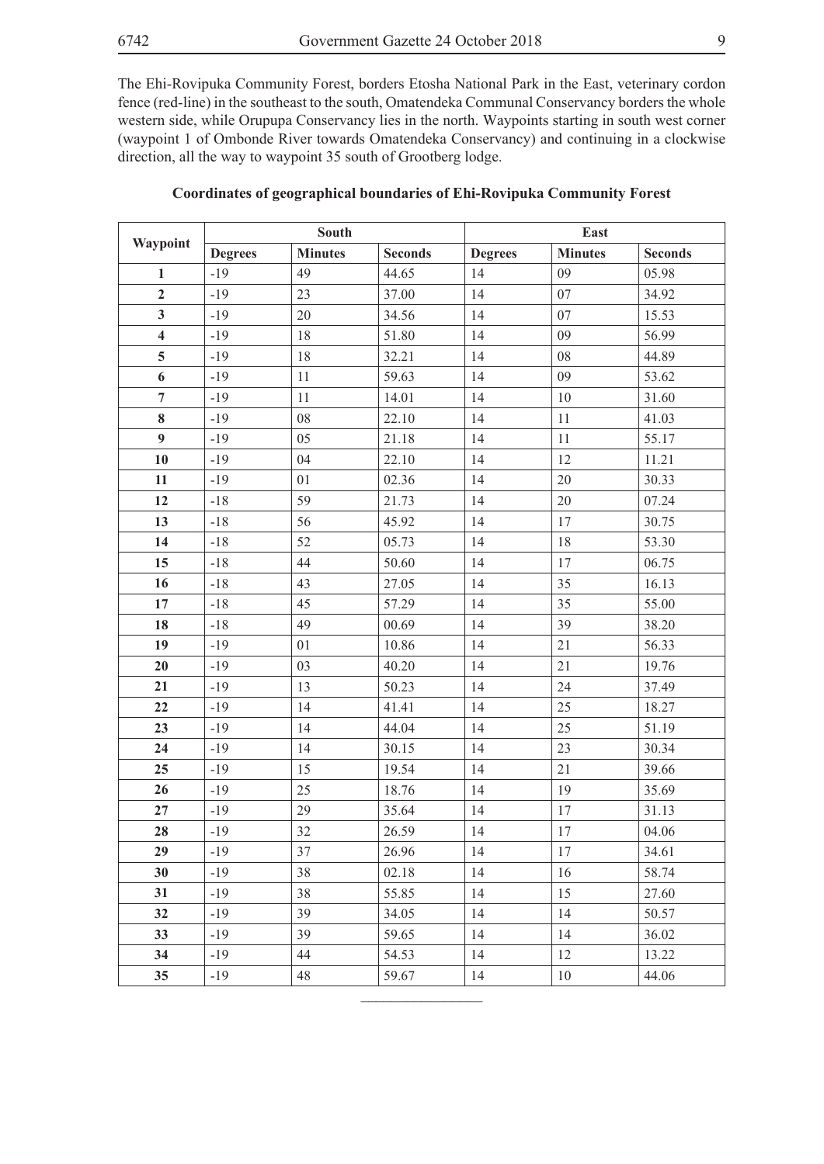The Ehi-Rovipuka Community Forest, borders Etosha National Park in the East, veterinary cordon fence (red-line) in the southeast to the south, Omatendeka Communal Conservancy borders the whole western side, while Orupupa Conservancy lies in the north. Waypoints starting in south west corner (waypoint 1 of Ombonde River towards Omatendeka Conservancy) and continuing in a clockwise direction, all the way to waypoint 35 south of Grootberg lodge.

|                         | South          |                |                | East           |                |                |
|-------------------------|----------------|----------------|----------------|----------------|----------------|----------------|
| Waypoint                | <b>Degrees</b> | <b>Minutes</b> | <b>Seconds</b> | <b>Degrees</b> | <b>Minutes</b> | <b>Seconds</b> |
| $\mathbf{1}$            | $-19$          | 49             | 44.65          | 14             | 09             | 05.98          |
| $\overline{2}$          | $-19$          | 23             | 37.00          | 14             | 07             | 34.92          |
| $\mathbf{3}$            | $-19$          | 20             | 34.56          | 14             | 07             | 15.53          |
| $\overline{\mathbf{4}}$ | $-19$          | 18             | 51.80          | 14             | 09             | 56.99          |
| $\overline{5}$          | $-19$          | 18             | 32.21          | 14             | 08             | 44.89          |
| 6                       | $-19$          | 11             | 59.63          | 14             | 09             | 53.62          |
| $\overline{7}$          | $-19$          | 11             | 14.01          | 14             | $10\,$         | 31.60          |
| $\bf 8$                 | $-19$          | 08             | 22.10          | 14             | 11             | 41.03          |
| $\boldsymbol{9}$        | $-19$          | 05             | 21.18          | 14             | 11             | 55.17          |
| 10                      | $-19$          | 04             | 22.10          | 14             | 12             | 11.21          |
| 11                      | $-19$          | 01             | 02.36          | 14             | $20\,$         | 30.33          |
| 12                      | $-18$          | 59             | 21.73          | 14             | $20\,$         | 07.24          |
| 13                      | $-18$          | 56             | 45.92          | 14             | 17             | 30.75          |
| 14                      | $-18$          | 52             | 05.73          | 14             | 18             | 53.30          |
| 15                      | $-18$          | 44             | 50.60          | 14             | 17             | 06.75          |
| 16                      | $-18$          | 43             | 27.05          | 14             | 35             | 16.13          |
| 17                      | $-18$          | 45             | 57.29          | 14             | 35             | 55.00          |
| 18                      | $-18$          | 49             | 00.69          | 14             | 39             | 38.20          |
| 19                      | $-19$          | 01             | 10.86          | 14             | 21             | 56.33          |
| 20                      | $-19$          | 03             | 40.20          | 14             | 21             | 19.76          |
| 21                      | $-19$          | 13             | 50.23          | 14             | 24             | 37.49          |
| 22                      | $-19$          | 14             | 41.41          | 14             | 25             | 18.27          |
| 23                      | $-19$          | 14             | 44.04          | 14             | 25             | 51.19          |
| 24                      | $-19$          | 14             | 30.15          | 14             | 23             | 30.34          |
| 25                      | $-19$          | 15             | 19.54          | 14             | 21             | 39.66          |
| 26                      | $-19$          | 25             | 18.76          | 14             | 19             | 35.69          |
| 27                      | $-19$          | 29             | 35.64          | 14             | 17             | 31.13          |
| 28                      | $-19$          | 32             | 26.59          | 14             | 17             | 04.06          |
| 29                      | $-19$          | 37             | 26.96          | 14             | 17             | 34.61          |
| 30                      | $-19$          | 38             | 02.18          | 14             | 16             | 58.74          |
| 31                      | $-19$          | 38             | 55.85          | 14             | 15             | 27.60          |
| 32                      | $-19$          | 39             | 34.05          | 14             | 14             | 50.57          |
| 33                      | $-19$          | 39             | 59.65          | 14             | 14             | 36.02          |
| 34                      | $-19$          | 44             | 54.53          | 14             | 12             | 13.22          |
| 35                      | $-19$          | 48             | 59.67          | 14             | 10             | 44.06          |

 $\frac{1}{2}$ 

#### **Coordinates of geographical boundaries of Ehi-Rovipuka Community Forest**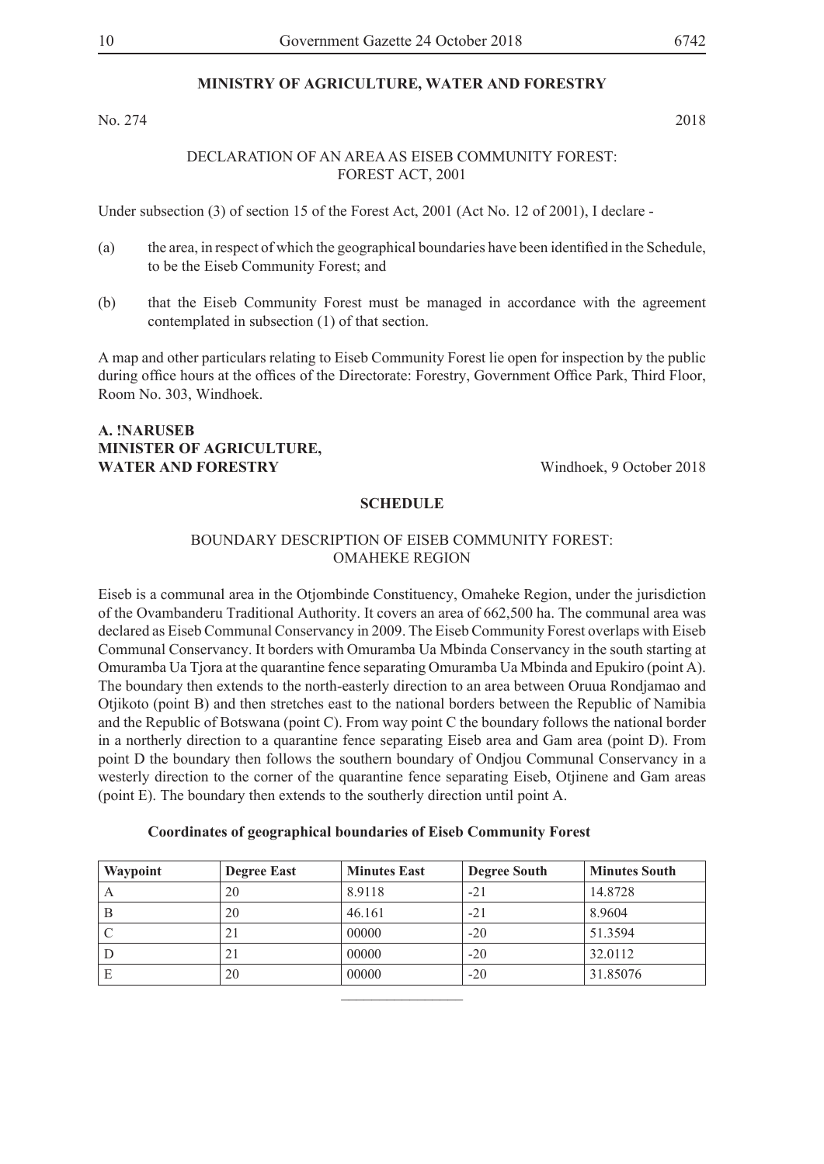No. 274 2018

#### DECLARATION OF AN AREA AS EISEB COMMUNITY FOREST: FOREST ACT, 2001

Under subsection (3) of section 15 of the Forest Act, 2001 (Act No. 12 of 2001), I declare -

- (a) the area, in respect of which the geographical boundaries have been identified in the Schedule, to be the Eiseb Community Forest; and
- (b) that the Eiseb Community Forest must be managed in accordance with the agreement contemplated in subsection (1) of that section.

A map and other particulars relating to Eiseb Community Forest lie open for inspection by the public during office hours at the offices of the Directorate: Forestry, Government Office Park, Third Floor, Room No. 303, Windhoek.

#### **A. !NARUSEB MINISTER OF AGRICULTURE, WATER AND FORESTRY** Windhoek, 9 October 2018

#### **SCHEDULE**

#### BOUNDARY DESCRIPTION OF EISEB COMMUNITY FOREST: OMAHEKE REGION

Eiseb is a communal area in the Otjombinde Constituency, Omaheke Region, under the jurisdiction of the Ovambanderu Traditional Authority. It covers an area of 662,500 ha. The communal area was declared as Eiseb Communal Conservancy in 2009. The Eiseb Community Forest overlaps with Eiseb Communal Conservancy. It borders with Omuramba Ua Mbinda Conservancy in the south starting at Omuramba Ua Tjora at the quarantine fence separating Omuramba Ua Mbinda and Epukiro (point A). The boundary then extends to the north-easterly direction to an area between Oruua Rondjamao and Otjikoto (point B) and then stretches east to the national borders between the Republic of Namibia and the Republic of Botswana (point C). From way point C the boundary follows the national border in a northerly direction to a quarantine fence separating Eiseb area and Gam area (point D). From point D the boundary then follows the southern boundary of Ondjou Communal Conservancy in a westerly direction to the corner of the quarantine fence separating Eiseb, Otjinene and Gam areas (point E). The boundary then extends to the southerly direction until point A.

| <b>Coordinates of geographical boundaries of Eiseb Community Forest</b> |  |  |  |
|-------------------------------------------------------------------------|--|--|--|
|                                                                         |  |  |  |

| Waypoint | <b>Degree East</b> | <b>Minutes East</b> | <b>Degree South</b> | <b>Minutes South</b> |
|----------|--------------------|---------------------|---------------------|----------------------|
| A        | 20                 | 8.9118              | $-21$               | 14.8728              |
| B        | 20                 | 46.161              | $-21$               | 8.9604               |
|          | 21                 | 00000               | $-20$               | 51.3594              |
| D        | 21                 | 00000               | $-20$               | 32.0112              |
| E        | 20                 | 00000               | $-20$               | 31.85076             |
|          |                    |                     |                     |                      |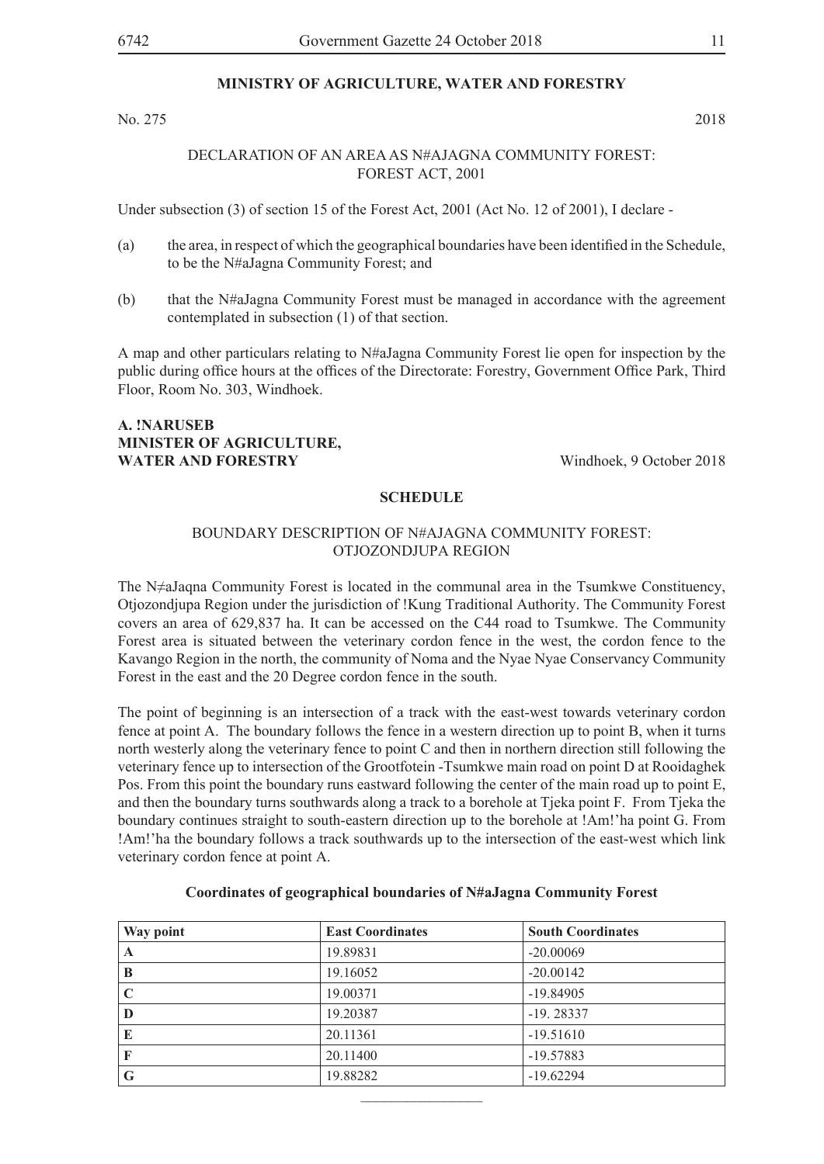No. 275 2018

#### DECLARATION OF AN AREA AS N#AJAGNA COMMUNITY FOREST: FOREST ACT, 2001

Under subsection (3) of section 15 of the Forest Act, 2001 (Act No. 12 of 2001), I declare -

- (a) the area, in respect of which the geographical boundaries have been identified in the Schedule, to be the N#aJagna Community Forest; and
- (b) that the N#aJagna Community Forest must be managed in accordance with the agreement contemplated in subsection (1) of that section.

A map and other particulars relating to N#aJagna Community Forest lie open for inspection by the public during office hours at the offices of the Directorate: Forestry, Government Office Park, Third Floor, Room No. 303, Windhoek.

#### **A. !NARUSEB MINISTER OF AGRICULTURE, WATER AND FORESTRY** Windhoek, 9 October 2018

#### **SCHEDULE**

#### BOUNDARY DESCRIPTION OF N#AJAGNA COMMUNITY FOREST: OTJOZONDJUPA REGION

The N≠aJaqna Community Forest is located in the communal area in the Tsumkwe Constituency, Otjozondjupa Region under the jurisdiction of !Kung Traditional Authority. The Community Forest covers an area of 629,837 ha. It can be accessed on the C44 road to Tsumkwe. The Community Forest area is situated between the veterinary cordon fence in the west, the cordon fence to the Kavango Region in the north, the community of Noma and the Nyae Nyae Conservancy Community Forest in the east and the 20 Degree cordon fence in the south.

The point of beginning is an intersection of a track with the east-west towards veterinary cordon fence at point A. The boundary follows the fence in a western direction up to point B, when it turns north westerly along the veterinary fence to point C and then in northern direction still following the veterinary fence up to intersection of the Grootfotein -Tsumkwe main road on point D at Rooidaghek Pos. From this point the boundary runs eastward following the center of the main road up to point E, and then the boundary turns southwards along a track to a borehole at Tjeka point F. From Tjeka the boundary continues straight to south-eastern direction up to the borehole at !Am!'ha point G. From !Am!'ha the boundary follows a track southwards up to the intersection of the east-west which link veterinary cordon fence at point A.

| Way point | <b>East Coordinates</b> | <b>South Coordinates</b> |
|-----------|-------------------------|--------------------------|
| A         | 19.89831                | $-20.00069$              |
| B         | 19.16052                | $-20.00142$              |
| C         | 19.00371                | $-19.84905$              |
| D         | 19.20387                | $-19.28337$              |
| E         | 20.11361                | $-19.51610$              |
| F         | 20.11400                | $-19.57883$              |
| G         | 19.88282                | $-19.62294$              |

 $\frac{1}{2}$ 

#### **Coordinates of geographical boundaries of N#aJagna Community Forest**